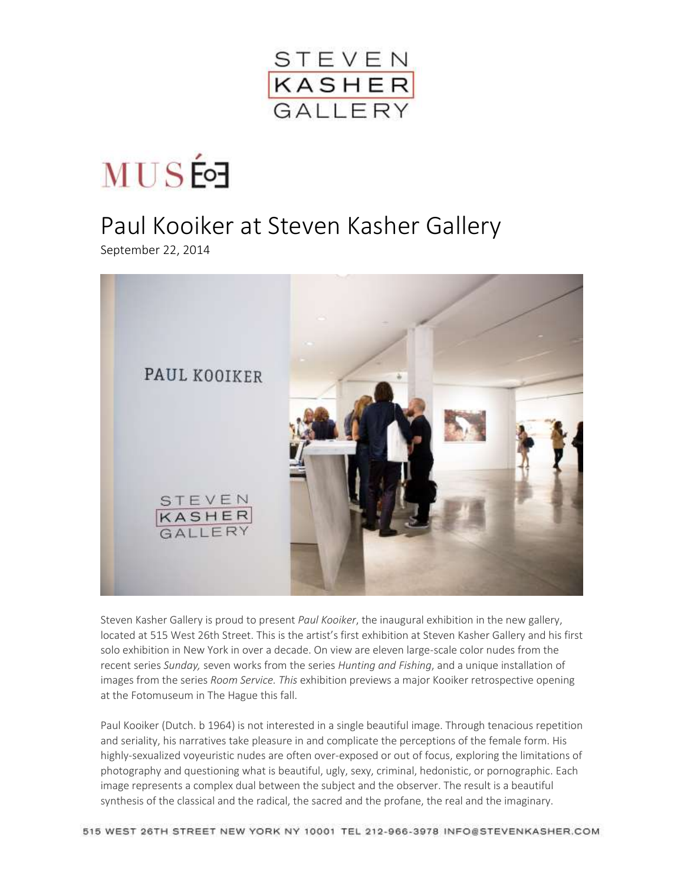

**MUS的** 

## Paul Kooiker at Steven Kasher Gallery

September 22, 2014



Steven Kasher Gallery is proud to present *Paul Kooiker*, the inaugural exhibition in the new gallery, located at 515 West 26th Street. This is the artist's first exhibition at Steven Kasher Gallery and his first solo exhibition in New York in over a decade. On view are eleven large-scale color nudes from the recent series *Sunday,* seven works from the series *Hunting and Fishing*, and a unique installation of images from the series *Room Service. This* exhibition previews a major Kooiker retrospective opening at the Fotomuseum in The Hague this fall.

Paul Kooiker (Dutch. b 1964) is not interested in a single beautiful image. Through tenacious repetition and seriality, his narratives take pleasure in and complicate the perceptions of the female form. His highly-sexualized voyeuristic nudes are often over-exposed or out of focus, exploring the limitations of photography and questioning what is beautiful, ugly, sexy, criminal, hedonistic, or pornographic. Each image represents a complex dual between the subject and the observer. The result is a beautiful synthesis of the classical and the radical, the sacred and the profane, the real and the imaginary.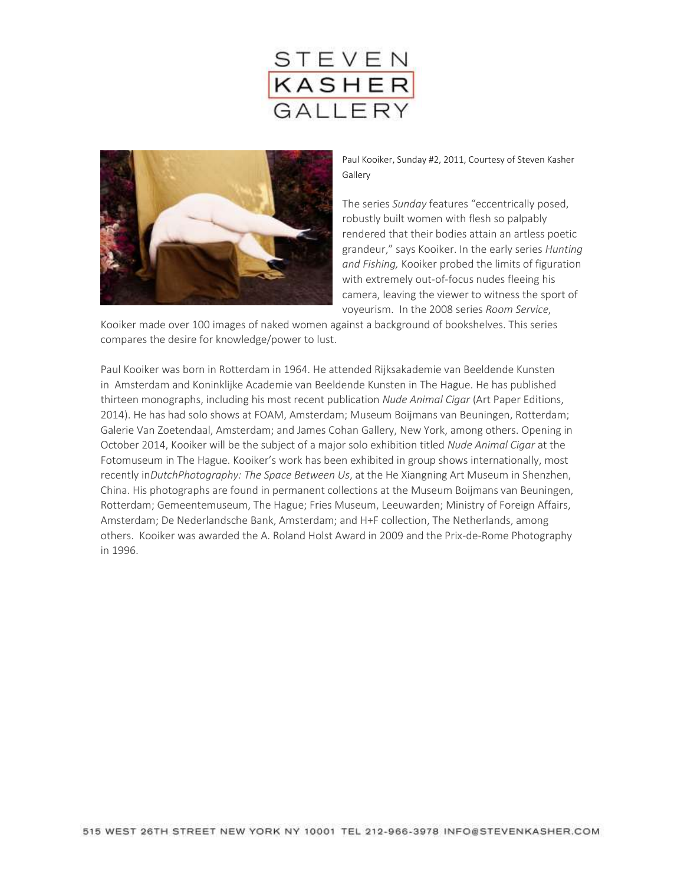



Paul Kooiker, Sunday #2, 2011, Courtesy of Steven Kasher Gallery

The series *Sunday* features "eccentrically posed, robustly built women with flesh so palpably rendered that their bodies attain an artless poetic grandeur," says Kooiker. In the early series *Hunting and Fishing,* Kooiker probed the limits of figuration with extremely out-of-focus nudes fleeing his camera, leaving the viewer to witness the sport of voyeurism. In the 2008 series *Room Service*,

Kooiker made over 100 images of naked women against a background of bookshelves. This series compares the desire for knowledge/power to lust.

Paul Kooiker was born in Rotterdam in 1964. He attended Rijksakademie van Beeldende Kunsten in Amsterdam and Koninklijke Academie van Beeldende Kunsten in The Hague. He has published thirteen monographs, including his most recent publication *Nude Animal Cigar* (Art Paper Editions, 2014). He has had solo shows at FOAM, Amsterdam; Museum Boijmans van Beuningen, Rotterdam; Galerie Van Zoetendaal, Amsterdam; and James Cohan Gallery, New York, among others. Opening in October 2014, Kooiker will be the subject of a major solo exhibition titled *Nude Animal Cigar* at the Fotomuseum in The Hague. Kooiker's work has been exhibited in group shows internationally, most recently in*DutchPhotography: The Space Between Us*, at the He Xiangning Art Museum in Shenzhen, China. His photographs are found in permanent collections at the Museum Boijmans van Beuningen, Rotterdam; Gemeentemuseum, The Hague; Fries Museum, Leeuwarden; Ministry of Foreign Affairs, Amsterdam; De Nederlandsche Bank, Amsterdam; and H+F collection, The Netherlands, among others. Kooiker was awarded the A. Roland Holst Award in 2009 and the Prix-de-Rome Photography in 1996.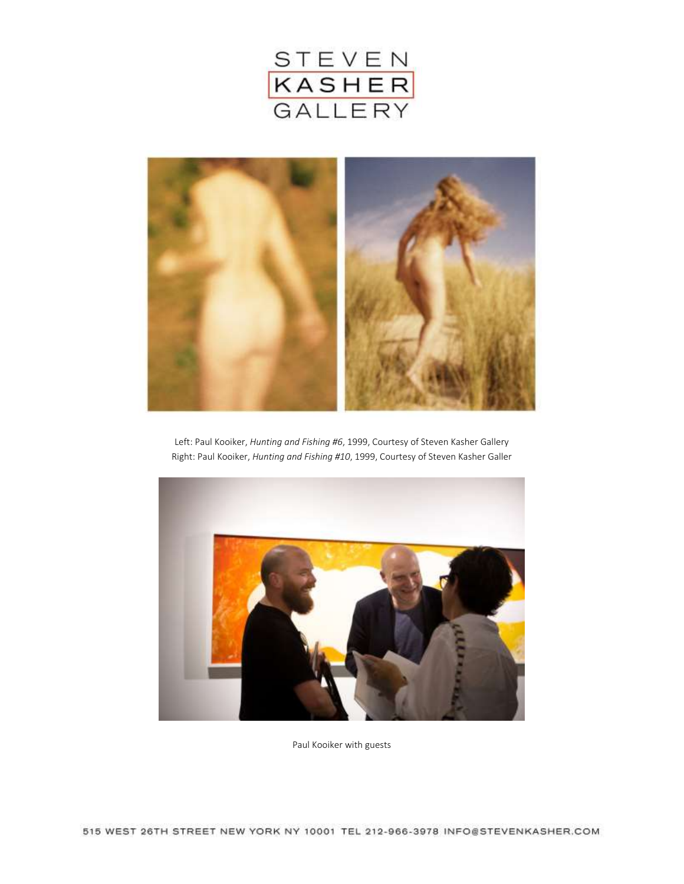



Left: Paul Kooiker, *Hunting and Fishing #6*, 1999, Courtesy of Steven Kasher Gallery Right: Paul Kooiker, *Hunting and Fishing #10*, 1999, Courtesy of Steven Kasher Galler



Paul Kooiker with guests